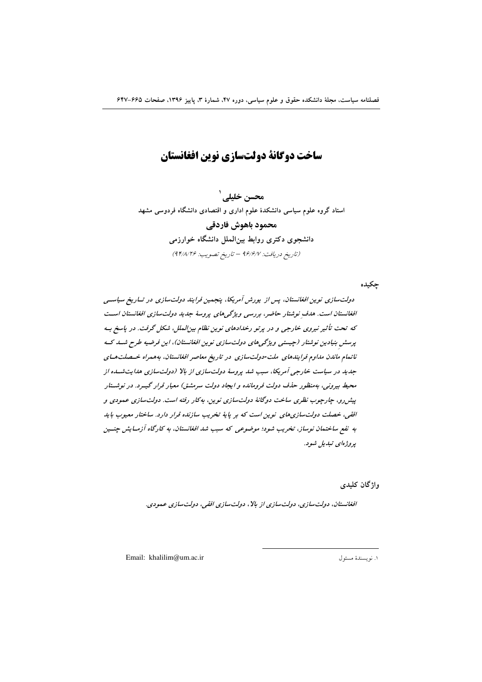# ساخت دوگانة دولتسازي نوين افغانستان

محسن خلیلے <sup>\</sup> استاد گروه علوم سیاسی دانشکدهٔ علوم اداری و اقتصادی دانشگاه فردوسی مشهد محمود باهوش فاردقي دانشجوی دکتری روابط بینالملل دانشگاه خوارزمی (تاريخ دريافت: ٩۶/۶/٧ - تاريخ تصويب: ٩٢/٨/٢۶)

جكيده

دولتسازی نوین افغانستان، پس از پورش آمریکا، پنجمین فرایند دولتسازی در تساریخ سیاستی افغانستان است. هدف نوشتار حاضر، بررسی ویژگی های پروسهٔ جدید دولت سازی افغانستان است که تحت تأثیر نیروی خارجی و در پرتو رخدادهای نوین نظام بینالملل، شکل گرفت. در پاسخ به پرسش بنیادین نوشتار (جیستی ویژگی های دولتسازی نوین افغانستان)، این فرضیه طرح شسد ک ناتمام ماندن مداوم فرایندهای ملت-دولتسازی در تاریخ معاصر افغانستان، بههمراه خـصلتهـای جدید در سیاست خارجی آمریکا، سبب شد پروسهٔ دولتسازی از بالا (دولتسازی هدایتشده از محیط بیرونی، بهمنظور حذف دولت فرومانده و ایجاد دولت سرمشتی) معیار قرار گیبرد. در نوشتار پیش رو، چارچوب نظری ساخت دوگانهٔ دولتسازی نوین، به کار رفته است. دولتسازی عمودی و افقی، خصلت دولت سازی های نوین است که بر پایهٔ تخریب سازنده قرار دارد. ساختار معبوب باید به نفع ساختمان نوساز، تخریب شود؛ موضوعی که سبب شد افغانستان، به کارگاه آزمـایش چنــین يروژەلى تېلىل شود.

وإژگان كليدى

افغانستان، دولتسازی، دولتسازی از بالا، دولتسازی افقی، دولتسازی عمودی.

Email: khalilim@um.ac.ir

١. نويسندهٔ مسئول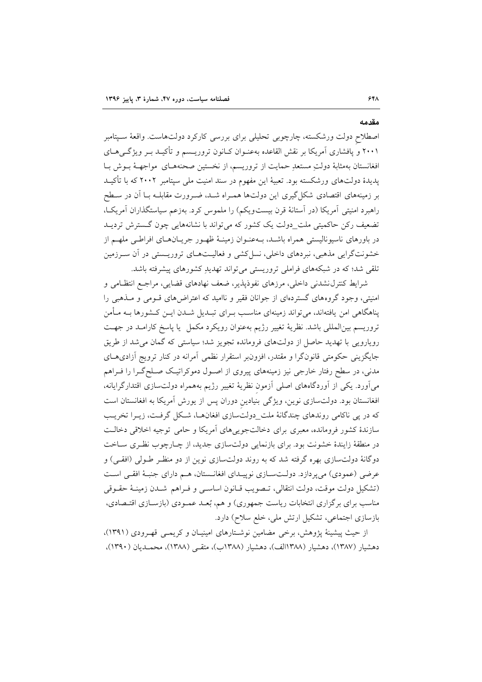#### مقدمه

اصطلاح دولت ورشکسته، چارچوبی تحلیلی برای بررسی کارکرد دولتهاست. واقعهٔ سـیتامبر ۲۰۰۱ و یافشاری آمریکا بر نقش القاعده بهعنـوان کـانون تروریـسم و تأکیـد بـر ویژگـی۵حـای افغانستان بهمثابهٔ دولتِ مستعدِ حمایت از تروریسم، از نخستین صحنههـای مواجهـهٔ بـوش بـا پدیدهٔ دولتهای ورشکسته بود. تعبیهٔ این مفهوم در سند امنیت ملی سپتامبر ۲۰۰۲ که با تأکیــد بر زمینههای اقتصادی شکل گیری این دولتها همـراه شـد، ضـرورت مقابلـه بـا آن در سـطح راهبرد امنیتی آمریکا (در آستانهٔ قرن بیستویکم) را ملموس کرد. بهزعم سیاستگذاران آمریک)، تضعیف رکن حاکمیتی ملت\_دولت یک کشور که می تواند با نشانههایی چون گسترش تردیــد در باورهای ناسیونالیستی همراه باشـد، بـهعنـوان زمینـهٔ ظهـور جریــانهـای افراطـی ملهــم از خشونتگرایی مذهبی، نبردهای داخلی، نسل کشی و فعالیتهای تروریستی در آن سـرزمین تلقی شد؛ که در شبکههای فراملی تروریستی می تواند تهدیدِ کشورهای پیشرفته باشد.

شرايط كنترل نشدني داخلي، مرزهاي نفوذيذير، ضعف نهادهاي قضايي، مراجع انتظـامي و امنیتی، وجود گروههای گستردهای از جوانان فقیر و ناامید که اعتراضهای قـومی و مـذهبی را پناهگاهی امن یافتهاند، میتواند زمینهای مناسب بـرای تبـدیل شــدن ایــن کــشورها بــه مــأمن تروریسم بین|لمللی باشد. نظریهٔ تغییر رژیم بهعنوان رویکرد مکمل یا پاسخ کارامـد در جهـت رویارویی با تھدید حاصل از دولتهای فرومانده تجویز شد؛ سیاستی که گمان می شد از طریق جایگزینی حکومتی قانونگرا و مقتدر، افزونبر استقرار نظمی آمرانه در کنار ترویج آزادیهای مدنی، در سطح رفتار خارجی نیز زمینههای پیروی از اصـول دموکراتیـک صـلحگـرا را فـراهم میآورد. یکی از آوردگاههای اصلی آزمون نظریهٔ تغییر رژیم بههمراه دولتسازی اقتدارگرایانه، افغانستان بود. دولتسازی نوین، ویژگی بنیادین دوران پس از یورش آمریکا به افغانستان است که در پی ناکامی روندهای چندگانهٔ ملت\_دولتسازی افغانهـا، شـکل گرفـت، زیـرا تخریـب سازندهٔ کشور فرومانده، معبری برای دخالتجویی های آمریکا و حامی توجیه اخلاقی دخالت در منطقهٔ زایندهٔ خشونت بود. برای بازنمایی دولتسازی جدید، از چـارچوب نظـری سـاخت دوگانهٔ دولتسازی بهره گرفته شد که به روند دولتسازی نوین از دو منظـر طـولی (افقـی) و عرضی (عمودی) می پر دازد. دولتســازی نوییــدای افغانــستان، هــم دارای جنبـهٔ افقــی اسـت (تشكيل دولت موقت، دولت انتقالي، تـصويب قـانون اساسـي و فـراهم شـدن زمينــهٔ حقــوقى مناسب برای برگزاری انتخابات ریاست جمهوری) و هم، بُعـد عمـودی (بازسـازی اقتـصادی، بازسازی اجتماعی، تشکیل ارتش ملی، خلع سلاح) دارد.

از حیث پیشینهٔ پژوهش، برخی مضامین نوشتارهای امینیان و کریمبی قهـرودی (۱۳۹۱)، دهشیار (۱۳۸۷)، دهشیار (۱۳۸۸الف)، دهشیار (۱۳۸۸ب)، متقبی (۱۳۸۸)، محمـدیان (۱۳۹۰)،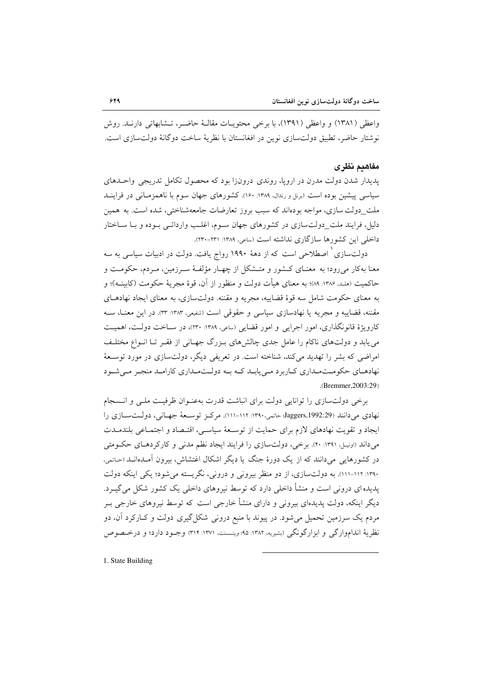واعظی (۱۳۸۱) و واعظی (۱۳۹۱)، با برخی محتویـات مقالـهٔ حاضـر، تـشابهاتی دارنــد. روش نوشتار حاضر، تطبیق دولت سازی نوین در افغانستان با نظریهٔ ساخت دو گانهٔ دولت سازی است.

### مفاهدم نظرى

پدیدار شدن دولت مدرن در اروپا، روندی درونزا بود که محصول تکامل تدریجی واحـدهای سیاسی پیشین بوده است (برنل و رندال، ۱۳۸۹: ۱۶۰). کشورهای جهان سوم با ناهمزمـانی در فراینــد ملت\_دولت سازی، مواجه بودهاند که سبب بروز تعارضات جامعهشناختی، شده است. به همین دلیلی فرایند ملت دولتسازی در کشورهای جهان سـوم، اغلـب وارداتـی بـوده و بـا سـاختار داخلی این کشورها سازگاری نداشته است (ساعی، ۱۳۸۹: ۲۳۱-۲۳۰).

دولتسازی <sup>۱</sup> اصطلاحی است که از دههٔ ۱۹۹۰ رواج یافت. دولت در ادبیات سیاسی به سه معنا بهکار میرود؛ به معنـای کـشور و متـشکل از چهـار مؤلفـهٔ سـرزمین، مـردم، حکومـت و حاكميت (هـلـد، ۱۳۸۶: ۸۹)؛ به معناي هيأت دولت و منظور از آن، قوهٔ مجريهٔ حكومت (كابينـه)؛ و به معنای حکومت شامل سه قوهٔ قضاییه، مجریه و مقننه. دولتسازی، به معنای ایجاد نهادهـای مقننه، قضاییه و مجریه یا نهادسازی سیاسی و حقوقی است (شفیعی، ۱۳۸۳: ۳۳). در این معنـا، ســه کارویژهٔ قانونگذاری، امور اجرایی و امور قضایی (ساعی، ۱۳۸۹: ۲۳۰)، در سـاخت دولـت، اهمیـت می پابد و دولتهای ناکام را عامل جدی چالشهای بـزرگ جهـانی از فقـر تـا انـواع مختلـف امراضی که بشر را تهدید میکند، شناخته است. در تعریفی دیگر، دولتسازی در مورد توسعهٔ نهادهای حکومت مداری کاربرد می یابد که به دولت مداری کارامد منجر می شود .(Bremmer, 2003:29)

برخی دولت سازی را توانایی دولت برای انباشت قدرت بهعنـوان ظرفیـت ملـی و انـسجام نهادي مي دانند (Jaggers,1992:29 حاتمي،١٣٩٠: ١١٢-١١١). مركز توسعهٔ جهاني، دولتسازي را ایجاد و تقویت نهادهای لازم برای حمایت از توسعهٔ سیاسی، اقتـصاد و اجتمـاعی بلندمـدت میداند (اونیل، ۱۳۹۱: ۴۰). برخی، دولتسازی را فرایند ایجاد نظم مدنی و کارکردهای حکومتی در کشورهایی میدانند که از یک دورهٔ جنگ یا دیگر اشکال اغتشاش، بیرون آمـدهانــد (حـاتمی، ۱۳۹۰: ۱۱۲-۱۱۱). به دولتسازی، از دو منظر بیرونی و درونی، نگریسته می شود؛ یکی اینکه دولت یدیده ای درونی است و منشأ داخلی دارد که توسط نیروهای داخلی یک کشور شکل می گیـرد. دیگر اینکه، دولت پدیدهای بیرونی و دارای منشأ خارجی است که توسط نیروهای خارجی بـر مردم یک سرزمین تحمیل می شود. در پیوند با منبع درونی شکل گیری دولت و کــارکرد آن، دو نظرية انداموارگي و ابزارگونگي (بشيريه، ١٣٨٢: ٩٥؛ وينسنت، ١٣٧١: ٣١۴) وجـود دارد؛ و درخـصوص

1. State Building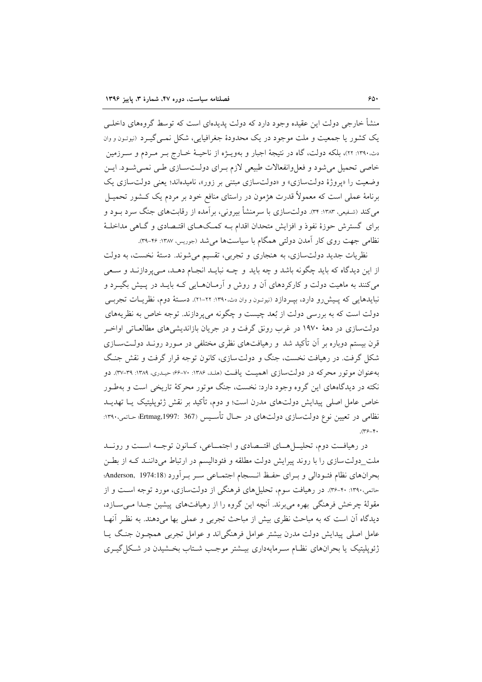منشأ خارجی دولت این عقیده وجود دارد که دولت پدیدهای است که توسط گروههای داخلــی یک کشور یا جمعیت و ملت موجود در یک محدودهٔ جغرافیایی، شکل نمبی گیبرد (نیوتیون و وان دن.۱۳۹۰: ۲۲)، بلکه دولت، گاه در نتیجهٔ اجبار و بهویــژه از ناحیــهٔ خــارج بــر مــردم و ســرزمین خاصی تحمیل می شود و فعل وانفعالات طبیعی لازم بهرای دولـتسـازی طـی نمـی شـود. ایـن وضعیت را «پروژهٔ دولتسازی» و «دولتسازی مبتنی بر زور»، نامیدهاند؛ یعنی دولتسازی یک برنامهٔ عملی است که معمولاً قدرت هژمون در راستای منافع خود بر مردم یک کــشور تحمیــل می کند (شفیعی، ۱۳۸۳: ۳۴). دولتسازی با سرمنشأ بیرونی، برآمده از رقابتهای جنگ سرد بــود و برای گسترش حوزهٔ نفوذ و افزایش متحدان اقدام بـه کمـک۵ـای اقتـصادی و گـاهی مداخلـهٔ نظامی جهت روی کار آمدن دولتی همگام با سیاستها می شد (جوریس، ۱۳۸۷: ۳۶-۳۹).

نظريات جديد دولتسازي، به هنجاري و تجربي، تقسيم مي شوند. دستهٔ نخست، به دولت از اين ديدگاه كه بايد چگونه باشد و چه بايد و چــه نبايــد انجــام دهــد، مــي پردازنــد و ســعي می کنند به ماهیت دولت و کارکردهای آن و روش و آرمـانهـایی کـه بایــد در پـیش بگیــرد و نبایدهایی که پـیش(و دارد، بیـردازد (نیوتـون و وان دث.۱۳۹۰: ۲۲-۲۱). دسـتهٔ دوم، نظریـات تجربـی دولت است که به بررسی دولت از بُعد چیست و چگونه میپردازند. توجه خاص به نظریههای دولتسازی در دههٔ ۱۹۷۰ در غرب رونق گرفت و در جریان بازاندیشه های مطالعـاتی اواخـر قرن بیستم دوباره بر آن تأکید شد و رهیافتهای نظری مختلفی در مـورد رونـد دولــتســازی شکل گرفت. در رهیافت نخست، جنگ و دولت سازی، کانون توجه قرار گرفت و نقش جنگ به عنوان مو تور محرکه در دولت سازی اهمیت یافت (هلـد، ۱۳۸۶: ۲۰-۶۶؛ حیـدری، ۱۳۸۹: ۳۹-۳۷). دو .<br>نکته در دیدگاههای این گروه وجود دارد: نخست، جنگ موتور محرکهٔ تاریخی است و بهطـور خاص عامل اصلی پیدایش دولتهای مدرن است؛ و دوم، تأکید بر نقش ژئوپلیتیک یــا تهدیــد نظامی در تعیین نوع دولتسازی دولتهای در حـال تأسـیس Brtmag,1997: 367؛!!  $(\gamma_{\mathcal{F}-\mathcal{F}})$ 

در رهیافت دوم، تحلیــل هــای اقتــصادی و اجتمــاعی، کــانون توجــه اســت و رونــد ملت\_دولتسازی را با روند پیرایش دولت مطلقه و فئودالیسم در ارتباط میداننـد کـه از بطـن بحرانهاي نظام فئيو دالي و بيراي حفيظ انسيجام اجتمـاعي سير بير أورد (Anderson, 1974:18؛ حاتمی،۱۳۹۰: ۴۰-۳۶٪. در رهیافت سوم، تحلیل های فرهنگی از دولتسازی، مورد توجه است و از مقولهٔ چرخش فرهنگی بهره می برند. آنچه این گروه را از رهپافتهای پیشین جـدا مـی سـازد، دیدگاه آن است که به مباحث نظری بیش از مباحث تجربی و عملی بها میدهند. به نظـر آنهـا عامل اصلي پيدايش دولت مدرن بيشتر عوامل فرهنگي(ند و عوامل تجربي همچــون جنــگ پــا ژئوپلیتیک یا بحرانهای نظـام سـرمایهداری بیـشتر موجـب شـتاب بخـشیدن در شـكل گیـری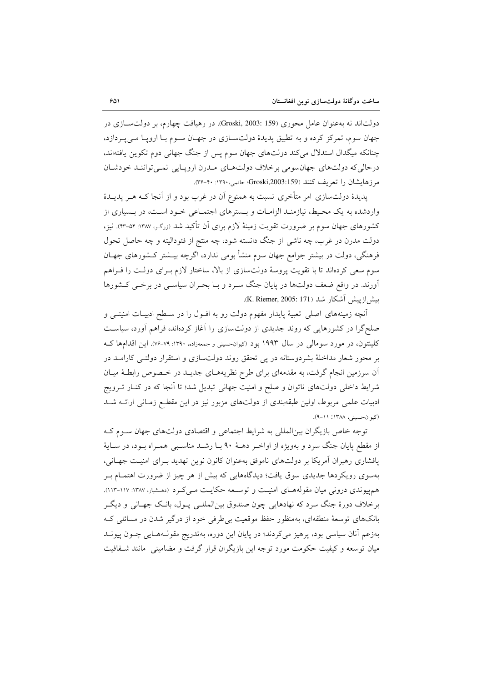دولتاند نه بهعنوان عامل محوری (Groski, 2003: 159). در رهیافت چهارم، بر دولت سازی در جهان سوم، تمرکز کرده و به تطبیق پدیدهٔ دولتسازی در جهـان سـوم بـا اروپـا مـی پـردازد، چنانکه میگدال استدلال میکند دولتهای جهان سوم پس از جنگ جهانی دوم تکوین یافتهاند. درحالي كه دولتهاي جهان سومي برخلاف دولتهاي مدرن ارويايي نمي توانند خودشان مرز هايشان را تعريف كنند (Groski,2003:159؛ حاتمي، ٣٩٠: ٣٠-٣۶).

پدیدهٔ دولتسازی امر متأخری نسبت به همنوع آن در غرب بود و از آنجا کـه هـر پدیــدهٔ واردشده به یک محیط، نیازمنـد الزامـات و بـسترهای اجتمـاعی خـود اسـت، در بـسیاری از کشورهای جهان سوم بر ضرورت تقویت زمینهٔ لازم برای آن تأکید شد (زرگه، ۱۳۸۷: ۵۴-۴۳). نیز، دولت مدرن در غرب، چه ناشی از جنگ دانسته شود، چه منتج از فئودالیته و چه حاصل تحول فرهنگی، دولت در بیشتر جوامع جهان سوم منشأ بومی ندارد، اگرچه بیــشتر کــشورهای جهــان سوم سعی کردهاند تا با تقویت پروسهٔ دولتسازی از بالا، ساختار لازم بـرای دولـت را فـراهم آورند. در واقع ضعف دولتها در پایان جنگ سـرد و بـا بحـران سیاسـی در برخـی کـشورها بيش|زييش آشكار شد (K. Riemer, 2005: 171).

آنچه زمینههای اصلی تعبیهٔ پایدار مفهوم دولت رو به افـول را در سـطح ادبیـات امنیتــی و صلحگرا در کشورهایی که روند جدیدی از دولتسازی را آغاز کردهاند، فراهم آورد، سیاست کلینتون، در مورد سومالی در سال ۱۹۹۳ بود (کیوانحسینی و جمعهزاده، ۱۳۹۰: ۷۹–۷۶). این اقدامها ک بر محور شعار مداخلهٔ بشردوستانه در پی تحقق روند دولتسازی و استقرار دولتـی کارامـد در آن سرزمین انجام گرفت، به مقدمهای برای طرح نظریههـای جدیــد در خـصوص رابطـهٔ میــان شرایط داخلی دولتهای ناتوان و صلح و امنیت جهانی تبدیل شد؛ تا اَنجا که در کنـار تــرویج ادبیات علمی مربوط، اولین طبقهبندی از دولتهای مزبور نیز در این مقطع زمـانی ارائـه شـد (کیوان حسینی، ۱۳۸۸: ۶۱۱–۹).

توجه خاص بازیگران بین|لمللی به شرایط اجتماعی و اقتصادی دولتهای جهان سـوم کـه از مقطع پایان جنگ سرد و بهویژه از اواخـر دهـهٔ ۹۰ بـا رشـد مناسـبی همـراه بـود، در سـایهٔ پافشاری رهبران آمریکا بر دولتهای ناموفق بهعنوان کانون نوین تهدید بـرای امنیـت جهـانی، بهسوی رویکردها جدیدی سوق یافت؛ دیدگاههایی که بیش از هر چیز از ضرورت اهتمــام بــر هم پیوندی درونی میان مقولههای امنیت و توسعه حکایت مے کرد (دهشیار، ۱۳۸۷-۱۱۳). برخلاف دورۂ جنگ سرد که نهادهایی چون صندوق بین|لمللـی پــول، بانـک جهــانی و دیگــر بانکهای توسعهٔ منطقهای، بهمنظور حفظ موقعیت بی طرفی خود از درگیر شدن در مسائلی ک بهزعم آنان سياسي بود، پرهيز ميكردند؛ در پايان اين دوره، بهتدريج مقول1هايي چــون پيونــد میان توسعه و کیفیت حکومت مورد توجه این بازیگران قرار گرفت و مضامینی ِ مانند شـفافیت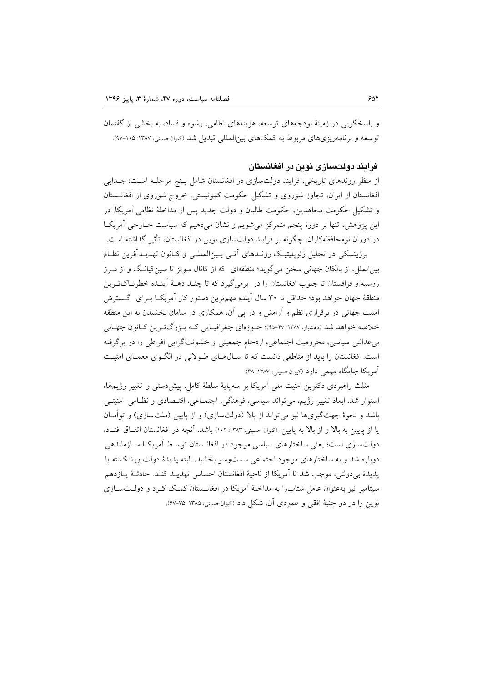و پاسخگویی در زمینهٔ بودجههای توسعه، هزینههای نظامی، رشوه و فساد، به بخشی از گفتمان توسعه و برنامهریزیهای مربوط به کمکهای بین|لمللی تبدیل شد (کیوانحسینی، ۱۳۸۷: ۱۰۵–۹۷).

### فرایند دولتسازی نوین در افغانستان

از منظر روندهای تاریخی، فرایند دولتسازی در افغانستان شامل پـنج مرحلـه اسـت: جــدایی افغانستان از ایران، تجاوز شوروی و تشکیل حکومت کمونیستی، خروج شوروی از افغانــستان و تشکیل حکومت مجاهدین، حکومت طالبان و دولت جدید پس از مداخلهٔ نظامی آمریکا. در این پژوهش، تنها بر دورهٔ پنجم متمرکز می شویم و نشان میدهیم که سیاست خـارجی آمریکـا در دوران نومحافظهکاران، چگونه بر فرایند دولتسازی نوین در افغانستان، تأثیر گذاشته است.

برژینسکی در تحلیل ژئوپلیتیک رونـدهای آتـی بـین|لمللـی و کـانون تهدیـدآفرین نظـام بینالملل، از بالکان جهانی سخن میگوید؛ منطقهای که از کانال سوئز تا سینکیانگ و از مـرز روسيه و قزاقستان تا جنوب افغانستان را در برمي گيرد كه تا چنـد دهــهٔ أينـده خطرنــاكتـرين منطقهٔ جهان خواهد بود؛ حداقل تا ۳۰ سال اَینده مهم ترین دستور کار اَمریکـا بـرای گـسترش امنیت جهانی در برقراری نظم و آرامش و در پی آن، همکاری در سامان بخشیدن به این منطقه خلاصه خواهد شد (دهشیار، ۱۳۸۷: ۴۷-۴۵)؛ حـوزهای جغرافیـایی کـه بـزرگتـرین کـانون جهـانی بی عدالتی سیاسی، محرومیت اجتماعی، ازدحام جمعیتی و خشونتگرایی افراطی را در برگرفته است. افغانستان را باید از مناطقی دانست که تا سـال۱صای طـولانی در الگـوی معمـای امنیـت آمريكا جايگاه مهمي دارد (كيوانحسيني، ١٣٨٧: ٣٨).

مثلث راهبردی دکترین امنیت ملی آمریکا بر سه پایهٔ سلطهٔ کامل، پیش دستی و تغییر رژیمها، استوار شد. ابعاد تغییر رژیم، می تواند سیاسی، فرهنگی، اجتمـاعی، اقتـصادی و نظـامی-امنیتـی باشد و نحوهٔ جهتگیریها نیز می تواند از بالا (دولتسازی) و از پایین (ملتسازی) و توأمـان یا از پایین به بالا و از بالا به پایین (کیوان حسینی، ۱۳۸۳: ۱۰۲) باشد. آنچه در افغانستان اتفاق افتـاد، دولتسازی است؛ یعنی ساختارهای سیاسی موجود در افغانـستان توسـط آمریکـا سـازماندهی دوباره شد و به ساختارهای موجود اجتماعی سمتوسو بخشید. البته پدیدهٔ دولت ورشکسته یا يديدة بي دولتي، موجب شد تا آمريكا از ناحية افغانستان احساس تهديـد كنـد. حادثـهٔ يــازدهم سپتامبر نیز بهعنوان عامل شتابزا به مداخلهٔ آمریکا در افغانـستان کمـک کـرد و دولـتسـازی نوين را در دو جنبهٔ افقی و عمودی آن، شکل داد (کیوانحسینی، ۱۳۸۵: ۷۵-۶۷).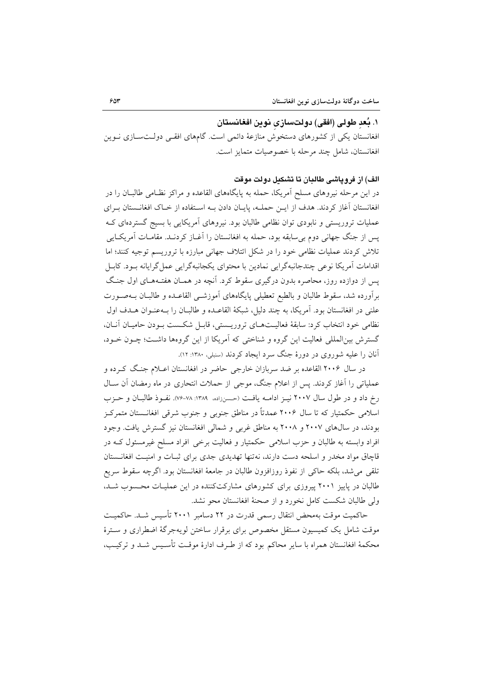### ١. بُعد طولي (افقي) دولتسازي نوين افغانستان

افغانستان یکی از کشورهای دستخوش منازعهٔ دائمی است. گامهای افقی دولـتسـازی نـوین افغانستان، شامل چند مرحله با خصوصیات متمایز است.

### الف) از فروياشي طالبان تا تشكىل دولت موقت

در این مرحله نیروهای مسلح اَمریکا، حمله به پایگاههای القاعده و مراکز نظـامی طالبــان را در افغانستان آغاز کردند. هدف از ایــن حملــه، پایــان دادن بــه اســتفاده از خــاک افغانــستان بــرای عملیات تروریستی و نابودی توان نظامی طالبان بود. نیروهای آمریکایی با بسیج گستردهای ک يس از جنگ جهاني دوم بي سابقه بود، حمله به افغانستان را آغــاز كردنــد. مقامــات آمريكــايي تلاش کردند عملیات نظامی خود را در شکل ائتلاف جهانی مبارزه با تروریسم توجیه کنند؛ اما اقدامات آمريكا نوعي چندجانبهگرايي نمادين با محتواي يكجانبهگرايي عمل گرايانه بـود. كابـل یس از دوازده روز، محاصره بدون درگیری سقوط کرد. آنچه در همـان هفتـههـای اول جنـگ برآورده شد، سقوط طالبان و بالطبع تعطیلی پایگاههای آموزشـی القاعـده و طالبـان بـهصـورت علني در افغانستان بود. آمريكا، به چند دليل، شبكة القاعـده و طالبـان را بـهعنـوان هـدف اول نظامی خود انتخاب کرد: سابقهٔ فعالیتهای تروریستی، قابل شکست بودن حامیان آنان، گسترش بین|لمللی فعالیت این گروه و شناختی که اَمریکا از این گروهها داشت؛ چــون خــود، آنان را علیه شوروی در دورهٔ جنگ سرد ایجاد کردند (سنبلی، ۱۳۸۰: ۱۲).

در سال ۲۰۰۶ القاعده بر ضد سربازان خارجی حاضر در افغانستان اعــلام جنـگ کــرده و عملیاتی را آغاز کردند. پس از اعلام جنگ، موجی از حملات انتحاری در ماه رمضان آن سـال رخ داد و در طول سال ۲۰۰۷ نیـز ادامــه یافــت (حـسنزاده، ۱۳۸۹: ۷۸-۷۶). نفــوذ طالبــان و حــزب اسلامی حکمتیار که تا سال ۲۰۰۶ عمدتاً در مناطق جنوبی و جنوب شرقی افغانــستان متمرکـز بودند، در سالهای ۲۰۰۷ و ۲۰۰۸ به مناطق غربی و شمالی افغانستان نیز گسترش یافت. وجود افراد وابسته به طالبان و حزب اسلامی حکمتیار و فعالیت برخی افراد مسلح غیرمسئول کـه در قاچاق مواد مخدر و اسلحه دست دارند، نهتنها تهدیدی جدی برای ثبـات و امنیـت افغانــستان تلقى مى شد، بلكه حاكى از نفوذ روزافزون طالبان در جامعهٔ افغانستان بود. اگرچه سقوط سريع طالبان در پاییز ۲۰۰۱ پیروزی برای کشورهای مشارکتکننده در این عملیـات محـسوب شـد، ولی طالبان شکست کامل نخورد و از صحنهٔ افغانستان محو نشد.

حاکمیت موقت بهمحض انتقال رسمی قدرت در ۲۲ دسامبر ۲۰۰۱ تأسیس شـد. حاکمیـت موقت شامل يک کميسيون مستقل مخصوص براى برقرار ساختن لويهجرگهٔ اضطرارى و سترهٔ محکمهٔ افغانستان همراه با سایر محاکم بود که از طـرف ادارهٔ موقـت تأسـیس شـد و ترکیـب،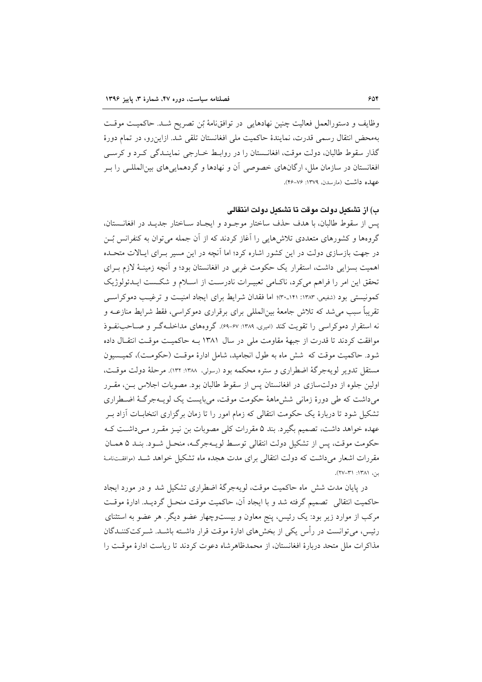وظايف و دستورالعمل فعاليت چنين نهادهايي در توافق نامهٔ بُن تصريح شـد. حاكميـت موقـت بهمحض انتقال رسمی قدرت، نمایندهٔ حاکمیت ملی افغانستان تلقی شد. ازاین رو، در تمام دورهٔ گذار سقوط طالبان، دولت موقت، افغانـستان را در روابـط خــارجي نماينــدگي كـرد و كرســي افغانستان در سازمان ملل، ارگانهای خصوصی آن و نهادها و گردهمایی های بین(لمللبی را ب عهده داشت (مارسدن، ۱۳۷۹: ۲۶-۴۶).

ب) از تشکیل دولت موقت تا تشکیل دولت انتقالی

يس از سقوط طالبان، با هدف حذف ساختار موجـود و ايجـاد سـاختار جديـد در افغانــستان، گروهها و کشورهای متعددی تلاش هایی را آغاز کردند که از آن جمله می توان به کنفرانس بُس در جهت بازسازی دولت در این کشور اشاره کرد؛ اما آنچه در این مسیر بـرای ایـالات متحـلـه اهميت بسزايي داشت، استقرار يک حکومت غربي در افغانستان بود؛ و آنچه زمينـهٔ لازم بـراي تحقق این امر را فراهم می کرد، ناکبامی تعبیـرات نادرسـت از اسـلام و شکـست ایـدئولوژیک کمونیستی بود (شفیعی، ۱۳۸۳: ۱۴۱ـ۳۰)؛ اما فقدان شرایط برای ایجاد امنیت و ترغیب دموکراسبی تقریباً سبب میشد که تلاش جامعهٔ بینالمللی برای برقراری دموکراسی، فقط شرایط منازعـه و نه استقرار دموکراسی را تقویت کند (امیری، ۱۳۸۹: ۶۷-۶۹). گروههای مداخل4گ و صـاحب نفـوذ موافقت کردند تا قدرت از جبههٔ مقاومت ملی در سال ۱۳۸۱ بـه حاکمیـت موقـت انتقـال داده شود. حاکمیت موقت که شش ماه به طول انجامید، شامل ادارهٔ موقت (حکومت)، کمیسیون مستقل تدویر لویهجرگهٔ اضطراری و ستره محکمه بود (رسولی، ۱۳۸۸: ۱۳۲). مرحلهٔ دولت موقت، اولین جلوه از دولتسازی در افغانستان پس از سقوط طالبان بود. مصوبات اجلاس بــن، مقــرر می داشت که طی دورهٔ زمانی شش ماههٔ حکومت موقت، می بایست یک لویـهجرگـهٔ اضـطراری تشکیل شود تا دربارهٔ یک حکومت انتقالی که زمام امور را تا زمان برگزاری انتخابــات اَزاد بــر عهده خواهد داشت، تصمیم بگیرد. بند ۵ مقررات کلی مصوبات بن نیـز مقـرر مـیداشـت کـه حکومت موقت، پس از تشکیل دولت انتقالی توسط لویـهجرگـه، منحـل شـود. بنـد ۵ همـان مقررات اشعار می داشت که دولت انتقالی برای مدت هجده ماه تشکیل خواهد شـد (موافقــتامـهٔ  $47$  (171: 1741).

در پایان مدت شش ماه حاکمیت موقت، لویهجرگهٔ اضطراری تشکیل شد و در مورد ایجاد حاكميت انتقالي \_تصميم گرفته شد و يا ايجاد آن، حاكميت موقت منحـل گرديـد. ادارهٔ موقـت مرکب از موارد زیر بود: یک رئیس، پنج معاون و بیستوچهار عضو دیگر. هر عضو به استثنای رئیس، میتوانست در رأس یکی از بخشهای ادارهٔ موقت قرار داشته باشـد. شـرکتکننـدگان مذاکرات ملل متحد دربارهٔ افغانستان، از محمدظاهرشاه دعوت کردند تا ریاست ادارهٔ موقت را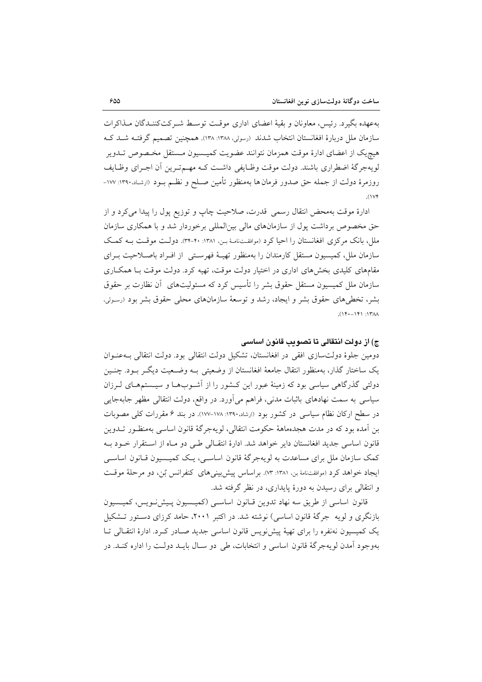بهعهده بگیرد. رئیس، معاونان و بقیهٔ اعضای اداری موقت توسط شـرکتکننـدگان مـذاکرات سازمان ملل دربارهٔ افغانستان انتخاب شدند (رسولی، ۱۳۸۸: ۱۳۸). همچنین تصمیم گرفتـه شــد کــه هيچيک از اعضاى ادارهٔ موقت همزمان نتوانند عضويت کميــسيون مــستقل مخـصوص تــدوير لويهجرگهٔ اضطراري باشند. دولت موقت وظـايفي داشـت كـه مهـمتـرين أن اجـراي وظـايف روزمرهٔ دولت از جمله حق صدور فرمان ها بهمنظور تأمین صـلح و نظـم بـود (ارشـاد،۱۳۹۰: ۱۷۷- $(11)$ 

ادارهٔ موقت بهمحض انتقال رسمی قدرت، صلاحیت چاپ و توزیع پول را پیدا می کرد و از حق مخصوص برداشت یول از سازمانهای مالی بین المللی برخوردار شد و با همکاری سازمان ملل، بانک مرکزی افغانستان را احیا کرد (موافقتنامهٔ بـن، ۱۳۸۱: ۴۰-۳۴). دولت موقت بـه کمک سازمان ملل، کمیسیون مستقل کارمندان را بهمنظور تهیـهٔ فهرسـتی از افـراد باصـلاحیت بـرای مقامهای کلیدی بخشهای اداری در اختیار دولت موقت، تهیه کرد. دولت موقت بـا همکـاری سازمان ملل کمیسیون مستقل حقوق بشر را تأسیس کرد که مسئولیتهای ۖ أن نظارت بر حقوق بشر، تخطی،های حقوق بشر و ایجاد، رشد و توسعهٔ سازمانهای محلی حقوق بشر بود (رسولی،  $M''$  :  $(141 - 141)$ .

### ج) از دولت انتقالی تا تصویب قانون اساسی

دومین جلوهٔ دولتسازی افقی در افغانستان، تشکیل دولت انتقالی بود. دولت انتقالی به عنوان یک ساختار گذار، بهمنظور انتقال جامعهٔ افغانستان از وضعیتی بـه وضـعیت دیگـر بـود. چنـین دولتی گذرگاهی سیاسی بود که زمینهٔ عبور این کـشور را از اَشـوبهـا و سیـستمهـای لـرزان سیاسی به سمت نهادهای باثبات مدنی، فراهم میآورد. در واقع، دولت انتقالی مظهر جابهجایی در سطح ارکان نظام سیاسی در کشور بود (ارشاد،۱۳۹۰: ۱۷۸-۱۷۷). در بند ۶ مقررات کلی مصوبات بن أمده بود كه در مدت هجدهماههٔ حكومت انتقالي، لويهجرگهٔ قانون اساسي بهمنظـور تــدوين قانون اساسی جدید افغانستان دایر خواهد شد. ادارهٔ انتقـالی طـی دو مـاه از اسـتقرار خـود بـه کمک سازمان ملل برای مساعدت به لویهجرگهٔ قانون اساسـی، یـک کمیـسیون قـانون اساسـی ايجاد خواهد كرد (موافقتنامهٔ بن، ۱۳۸۱: ۷۳). بر اساس پيش بيني هاي كنفر انس بُن، دو مرحلهٔ موقت و انتقالی برای رسیدن به دورهٔ پایداری، در نظر گرفته شد.

قانون اساسی از طریق سه نهاد تدوین قبانون اساسی (کمیسیون پیشنویس، کمیسیون بازنگری و لویه جرگهٔ قانون اساسی) نوشته شد. در اکتبر ۲۰۰۱، حامد کرزای دستور تشکیل یک کمیسیون نهنفره را برای تهیهٔ پیشنویس قانون اساسی جدید صـادر کـرد. ادارهٔ انتقـالی تـا بهوجود آمدن لويهجرگهٔ قانون اساسی و انتخابات، طی دو سـال بايــد دولــت را اداره كنــد. در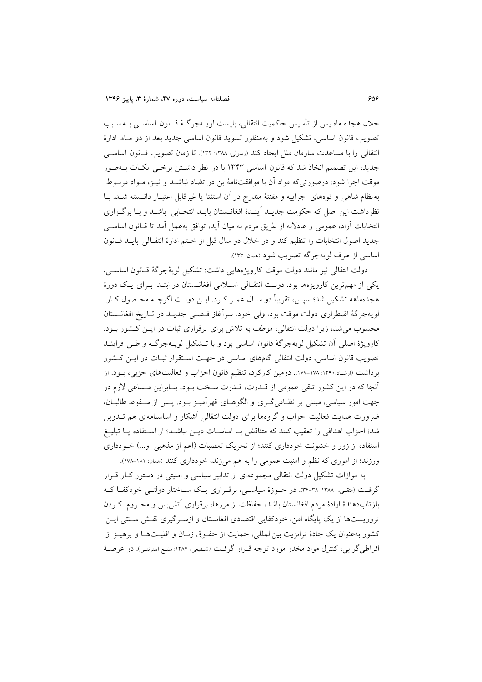خلال هجده ماه پس از تأسیس حاکمیت انتقالی، بایست لویــهجرگــهٔ قــانون اساســی بــهســبب تصويب قانون اساسي، تشكيل شود و بهمنظور تسويد قانون اساسي جديد بعد از دو مـاه، ادارهٔ انتقالی را با مساعدت سازمان ملل ایجاد کند (رسولی، ۱۳۸۸: ۱۳۲). تا زمان تصویب قـانون اساســی جدید، این تصمیم اتخاذ شد که قانون اساسی ۱۳۴۳ با در نظر داشتن برخمی نکات بـهطـور موقت اجرا شود: درصورتی که مواد آن با موافقتنامهٔ بن در تضاد نباشـد و نیــز، مــواد مربــوط به نظام شاهی و قوههای اجراییه و مقننهٔ مندرج در آن استثنا یا غیرقابل اعتبـار دانـسته شـد. بـا نظرداشت این اصل که حکومت جدیـد آینـدهٔ افغانـستان بایـد انتخـابی باشـد و بـا برگـزاری انتخابات آزاد، عمومی و عادلانه از طریق مردم به میان آید، توافق بهعمل آمد تا قـانون اساســی جديد اصول انتخابات را تنظيم كند و در خلال دو سال قبل از ختم ادارهٔ انتقـالی بايـد قـانون اساسی از طرف لو به جرگه تصویب شود (ممان: ۱۳۳).

دولت انتقالي نيز مانند دولت موقت كارويژههايي داشت: تشكيل لويۀجرگۀ قـانون اساسـي، یکی از مهمترین کارویژهها بود. دولت انتقـالی اسـلامی افغانـستان در ابتـدا بـرای یـک دورهٔ هجدههاهه تشکیل شد؛ سپس، تقریباً دو سـال عمـر کـرد. ایـن دولـت اگرچــه محـصول کـار لويهجرگهٔ اضطراري دولت موقت بود، ولي خود، سراّغاز فـصلي جديـد در تـاريخ افغانــستان محسوب می شد، زیرا دولت انتقالی، موظف به تلاش برای برقراری ثبات در ایـن کـشور بـود. کارویژهٔ اصلی آن تشکیل لویهجرگهٔ قانون اساسی بود و با تــشکیل لویــهجرگـه و طــی فراینــد تصویب قانون اساسی، دولت انتقالی گامهای اساسی در جهت استقرار ثبـات در ایـن کـشور بر داشت (ارشاد،۱۳۹۰: ۱۷۸–۱۷۷). دومین کارکرد، تنظیم قانون احزاب و فعالیتهای حزبی، بـود. از آنجا كه در اين كشور تلقى عمومى از قـدرت، قـدرت سـخت بـود، بنـابراين مـساعى لازم در جهت امور سیاسی، مبتنی بر نظـامیگـری و الگوهـای قهراًمیـز بـود. پـس از سـقوط طالبــان، ضرورت هدایت فعالیت احزاب و گروهها برای دولت انتقالی آشکار و اساسنامهای هم تــدوین شد؛ احزاب اهدافی را تعقیب کنند که متناقض بـا اساسـات دیــن نباشــد؛ از اسـتفاده یــا تبلیــغ استفاده از زور و خشونت خودداری کنند؛ از تحریک تعصبات (اعم از مذهبی و...) خـودداری ورزند؛ از اموری که نظم و امنیت عمومی را به هم می زند، خودداری کنند (ممان: ۱۸۱-۱۷۸).

به موازات تشکیل دولت انتقالی مجموعهای از تدابیر سیاسی و امنیتی در دستور کبار قبرار گرفت (متفی، ۱۳۸۸: ۳۸-۳۴). در حــوزهٔ سیاســی، برقــراری یــک ســاختار دولتــی خودکفــا کــه بازتابدهندهٔ ارادهٔ مردم افغانستان باشد، حفاظت از مرزها، برقراری آتش بس و محـروم کـردن تروریستها از یک پایگاه امن، خودکفایی اقتصادی افغانستان و ازسـرگیری نقـش سـنتی ایـن کشور بهعنوان یک جادهٔ ترانزیت بین|لمللی، حمایت از حقـوق زنـان و اقلیـتهـا و پرهیـز از افراطي گرايي، كنترل مواد مخدر مورد توجه قـرار گرفـت (شـفيعي، ١٣٨٧: منبـع اينترنتـي). در عرصــهٔ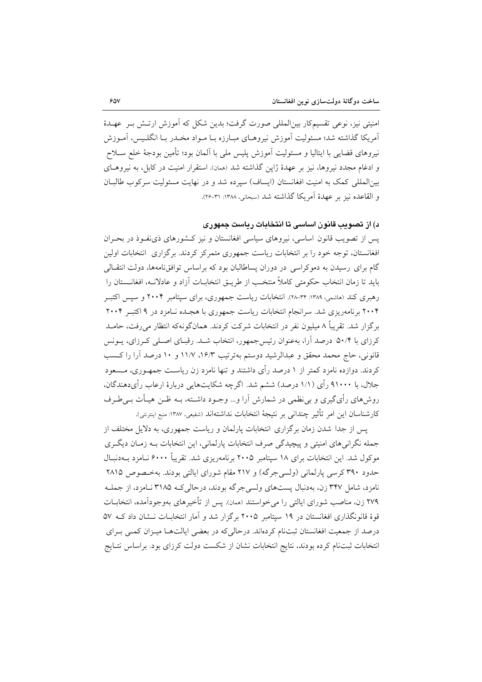امنیتی نیز، نوعی تقسیمکار بین|لمللی صورت گرفت؛ بدین شکل که آموزش ارتـش بـر عهـدهٔ آمریکا گذاشته شد؛ مسئولیت آموزش نیروهـای میـارزه بـا مـواد مخـدر بـا انگلـیس، آمـوزش نيروهاي قضايي با ايتاليا و مسئوليت آموزش پليس ملي با آلمان بود؛ تأمين بودجهٔ خلع سـلاح و ادغام مجدد نیروها، نیز بر عهدهٔ ژاپن گذاشته شد (ممان). استقرار امنیت در کابل، به نیروهـای بين|لمللي كمك به امنيت افغانستان (ايساف) سيرده شد و در نهايت مسئوليت سركوب طالبـان و القاعده نيز بر عهدهٔ أمريكا گذاشته شد (سبحاني، ١٣٨٨: ٣١-٢۶).

د) از تصویب قانون اساسی تا انتخابات ریاست جمهوری

یس از تصویب قانون اساسی، نیروهای سیاسی افغانستان و نیز کـشورهای ذی،نفـوذ در بحـران افغانستان، توجه خود را بر انتخابات ریاست جمهوری متمرکز کردند. برگزاری ِانتخابات اولین گام برای رسیدن به دموکراسی در دوران پساطالبان بود که براساس توافق،امهها، دولت انتقـالی بايد تا زمان انتخاب حكومتي كاملاً منتخب از طريبق انتخابــات آزاد و عادلانــه، افغانــستان را رهبری کند (هاشمی، ۱۳۸۹: ۳۴-۲۸). انتخابات ریاست جمهوری، برای سپتامبر ۲۰۰۴ و سپس اکتبـر ۲۰۰۴ برنامهریزی شد. سرانجام انتخابات ریاست جمهوری با هجـده نـامزد در ۹ اکتبـر ۲۰۰۴ برگزار شد. تقریباً ۸ میلیون نفر در انتخابات شرکت کردند. همانگونهکه انتظار می رفت، حامـد کرزای با ۵۰/۴ درصد آرا، بهعنوان رئیس جمهور، انتخاب شـد. رقبـای اصـلی کـرزای، پــونس قانونی، حاج محمد محقق و عبدالرشید دوستم بهترتیب ۱۶/۳، ۱۱/۷ و ۱۰ درصد آرا را کسب کردند. دوازده نامزد کمتر از ۱ درصد رأی داشتند و تنها نامزد زن ریاست جمهـوری، مـسعود جلال، با ۹۱۰۰۰ رأى (۱/۱ درصد) ششم شد. اگرچه شكايتهايي دربارهٔ ارعاب رأىدهندگان، روشهای رأیگیری و بی نظمی در شمارش آرا و… وجـود داشـته، بـه ظـن هیـأت بــیطـرف كارشناسان اين امر تأثير چنداني بر نتيجة انتخابات نداشتهاند (شفيعي، ١٣٨٧: منبع اينترنتي).

پس از جدا شدن زمان برگزاری انتخابات پارلمان و ریاست جمهوری، به دلایل مختلف از جمله نگرانی های امنیتی و پیچیدگی صرف انتخابات پارلمانی، این انتخابات بـه زمـان دیگـری موکول شد. این انتخابات برای ۱۸ سپتامبر ۲۰۰۵ برنامهریزی شد. تقریباً ۶۰۰۰ نـامزد بــهدنبـال حدود ۳۹۰ کرسی پارلمانی (ولسی جرگه) و ۲۱۷ مقام شورای ایالتی بودند. بهخـصوص ۲۸۱۵ نامزد، شامل ۳۴۷ زن، بهدنبال پستهای ولسی جرگه بودند، درحالی کـه ۳۱۸۵ نـامزد، از جملـه ۲۷۹ زن، مناصب شورای ایالتی را می خواستند (همان). پس از تأخیرهای بهوجودآمده، انتخابــات قوهٔ قانونگذاری افغانستان در ۱۹ سپتامبر ۲۰۰۵ برگزار شد و آمار انتخابـات نـشان داد کـه ۵۷ درصد از جمعیت افغانستان ثبتنام کردهاند. درحالیکه در بعضی ایالتها میـزان کمـی بـرای انتخابات ثبتنام كرده بودند، نتايج انتخابات نشان از شكست دولت كرزاي بود. براساس نتـايج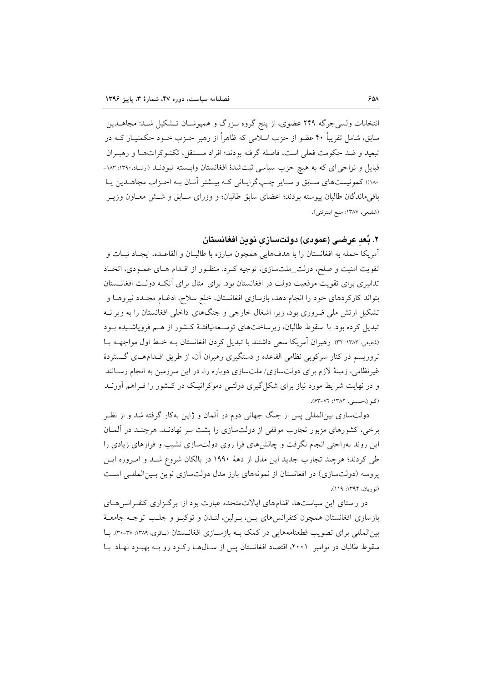انتخابات ولسی جرگه ۲۴۹ عضوی، از پنج گروه بـزرگ و همپوشـان تـشکیل شـد: مجاهــدین سابق، شامل تقریباً ۴۰ عضو از حزب اسلامی که ظاهراً از رهبر حـزب خـود حکمتیــار کــه در تبعيد و ضد حكومت فعلي است، فاصله گرفته بودند؛ افراد مـستقل، تكنـوكراتهـا و رهبـران قبایل و نواحی ای که به هیچ حزب سیاسی ثبتشدهٔ افغانستان وابـسته نبودنــد (ارشـاد.۱۳۹۰: ۱۸۳-۱۸۰؛ کمونیستهای سابق و سایر چپگرایانی کـه بیـشتر آنـان بـه احـزاب مجاهــدین یـا باقی ماندگان طالبان پیوسته بودند؛ اعضای سابق طالبان؛ و وزرای ســابق و شــش معــاون وزیــر (شفيعي، ١٣٨٧: منبع اينترنتي).

# ۲. بُعدِ عرضـى (عمودى) دولتسـازى نوين افغانسـتان

آمريكا حمله به افغانستان را با هدفهايي همچون مبارزه با طالبـان و القاعـده، ايجـاد ثبـات و تقویت امنیت و صلح، دولت\_ملتسازی، توجیه کـرد. منظـور از اقـدام هـای عمـودی، اتخـاذ تدابیری برای تقویت موقعیت دولت در افغانستان بود. برای مثال برای آنکـه دولـت افغانــستان بتواند کارکردهای خود را انجام دهد، بازسازی افغانستان، خلع سلاح، ادغـام مجـدد نيروهـا و تشکیل ارتش ملی ضروری بود، زیرا اشغال خارجی و جنگهای داخلی افغانستان را به ویرانـه تبدیل کرده بود. با سقوط طالبان، زیرساختهای توسـعهنیافتـهٔ کـشور از هـم فروپاشـیده بـود (شفیعی، ۱۳۸۳: ۳۲). رهبران آمریکا سعی داشتند با تبدیل کردن افغانستان بـه خـط اول مواجهـه بـا تروریسم در کنار سرکوبی نظامی القاعده و دستگیری رهبران آن، از طریق اقلدامهای گستردهٔ غیرنظامی، زمینهٔ لازم برای دولتسازی/ ملتسازی دوباره را، در این سرزمین به انجام رسـانند و در نهایت شرایط مورد نیاز برای شکل گیری دولتمی دموکراتیک در کشور را فـراهم آورنــد (کیوان-حسینی، ۱۳۸۲: ۷۲–۶۳).

دولتسازی بین|لمللی پس از جنگ جهانی دوم در آلمان و ژاپن بهکار گرفته شد و از نظـر برخی، کشورهای مزبور تجارب موفقی از دولتسازی را پشت سر نهادنـد. هرچنـد در آلمـان این روند بهراحتی انجام نگرفت و چالشهای فرا روی دولتسازی نشیب و فرازهای زیادی را طی کردند؛ هرچند تجارب جدید این مدل از دههٔ ۱۹۹۰ در بالکان شروع شـد و امـروزه ایـن پروسه (دولتسازی) در افغانستان از نمونههای بارز مدل دولتسازی نوین بسین المللـی اسـت (نوريان، ١٣٩٤: ١١٩).

در راستای این سیاستها، اقدامهای ایالاتمتحده عبارت بود از: برگزاری کنف انس هـای بازسازي افغانستان همچون كنفرانس هاي بــن، بــرلين، لنــدن و توكيــو و جلــب توجــه جامعــهٔ بینالمللی برای تصویب قطعنامههایی در کمک بـه بازسـازی افغانـستان (باقری، ۱۳۸۹: ۳۷-۳۰). بـا سقوط طالبان در نوامبر ۲۰۰۱، اقتصاد افغانستان پس از سـال۱هـا رکـود رو بـه بهبـود نهـاد. بـا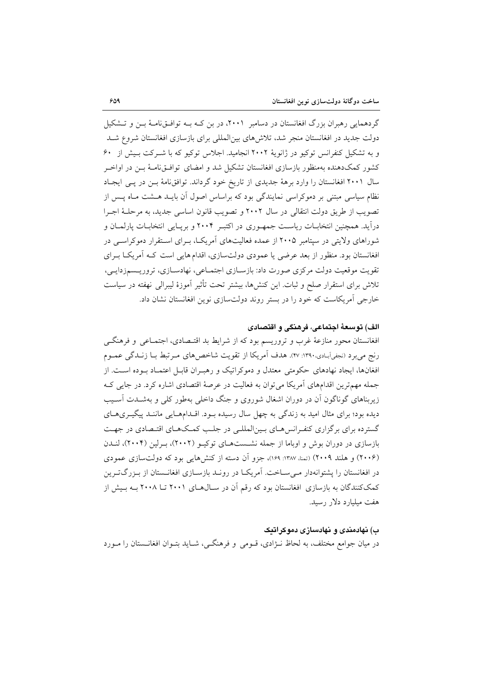گردهمایی رهبران بزرگ افغانستان در دسامبر ۲۰۰۱، در بن کـه بــه توافــقiامــهٔ بــن و تــشکیل دولت جدید در افغانستان منجر شد، تلاش های بین(لمللی برای بازسازی افغانستان شروع شـد و به تشکیل کنفرانس توکیو در ژانویهٔ ۲۰۰۲ انجامید. اجلاس توکیو که با شـ کت بـیش از ۶۰ کشور کمکدهنده بهمنظور بازسازی افغانستان تشکیل شد و امضای توافــقiمــهٔ بــن در اواخــر سال ۲۰۰۱ افغانستان را وارد برههٔ جدیدی از تاریخ خود گرداند. توافق نامهٔ بـن در پـی ایجـاد نظام سیاسی مبتنی بر دموکراسی نمایندگی بود که براساس اصول آن بایـد هــشت مـاه پـس از تصويب از طريق دولت انتقالي در سال ٢٠٠٢ و تصويب قانون اساسي جديد، به مرحلـهٔ اجـرا درآید. همچنین انتخابـات ریاسـت جمهـوری در اکتبـر ۲۰۰۴ و بریـایی انتخابـات پارلمـان و شوراهای ولایتی در سپتامبر ۲۰۰۵ از عمده فعالیتهای آمریک)، بـرای اسـتقرار دموکراسـی در افغانستان بود. منظور از بعد عرضی یا عمودی دولتسازی، اقدام هایی است کـه آمریکــا بــرای تقويت موقعيت دولت مركزي صورت داد: بازسـازي اجتمـاعي، نهادسـازي، تروريـسمزدايـي، تلاش برای استقرار صلح و ثبات. این کنشها، بیشتر تحت تأثیر آموزهٔ لیبرالی نهفته در سیاست خارجی آمریکاست که خود را در بستر روند دولتسازی نوین افغانستان نشان داد.

# الف) توسعهٔ اجتماعی، فرهنگی و اقتصادی

افغانستان محور منازعهٔ غرب و تروریسم بود که از شرایط بد اقتـصادی، اجتمـاعی و فرهنگـی رنج مي برد (نجفي آبـادي،١٣٩٠: ٢٧). هدف أمريكا از تقويت شاخص هاي مـرتبط بـا زنـدگي عمـوم افغانها، ایجاد نهادهای حکومتی معتدل و دموکراتیک و رهبه ان قابیل اعتمیاد ببوده است. از جمله مهمترین اقدامهای آمریکا می توان به فعالیت در عرصهٔ اقتصادی اشاره کرد. در جایی ک زیربناهای گوناگون آن در دوران اشغال شوروی و جنگ داخلی بهطور کلی و بهشـدت آسـیب دیده بود؛ برای مثال امید به زندگی به چهل سال رسیده بـود. اقــدامهـایی ماننــد پیگیــریهــای گسترده برای برگزاری کنفرانسهای بینالمللی در جلب کمکهای اقتصادی در جهت بازسازی در دوران بوش و اوباما از جمله نشستهای توکیـو (۲۰۰۲)، بـرلین (۲۰۰۴)، لنـدن (۲۰۰۶) و هلند ۲۰۰۹) (تمنا، ۱۳۸۷: ۱۶۹)، جزو آن دسته از کنشهایی بود که دولتسازی عمودی در افغانستان را پشتوانهدار مـی۳سـاخت. آمریکـا در رونـد بازسـازی افغانـستان از بـزرگتـرین کمککنندگان به بازسازی افغانستان بود که رقم آن در سـال۵هـای ۲۰۰۱ تــا ۲۰۰۸ بـه بـیش از هفت میلیارد دلار رسید.

## ب) نهادمندی و نهادسازی دموکراتیک

در میان جوامع مختلف، به لحاظ نـژادی، قــومی و فرهنگــی، شــاید بتــوان افغانــستان را مــورد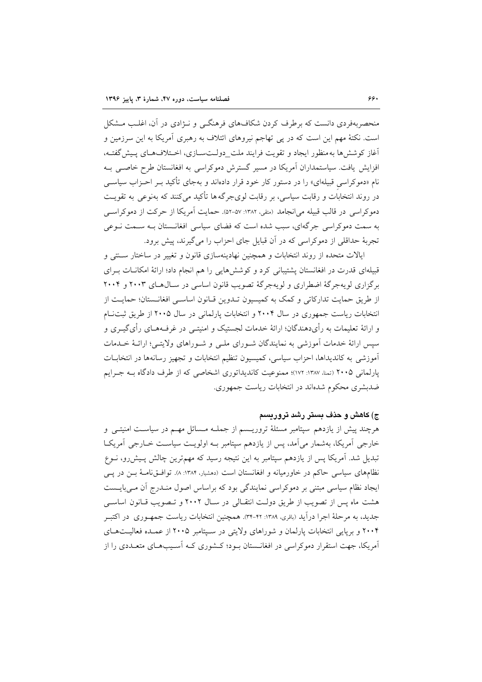منحصربهفردی دانست که برطرف کردن شکافهای فرهنگبی و نـژادی در آن، اغلـب مــشکل است. نکتهٔ مهم این است که در پی تهاجم نیروهای ائتلاف به رهبری آمریکا به این سرزمین و آغاز کوشش ها به منظور ایجاد و تقویت فرایند ملت\_دولـتسـازی، اخـتلافهـای پـیش گفتـه، افزایش یافت. سیاستمداران آمریکا در مسیر گسترش دموکراسی به افغانستان طرح خاصبی بـه نام «دموکراسی قبیلهای» را در دستور کار خود قرار دادهاند و بهجای تأکید بـر احـزاب سیاســی در روند انتخابات و رقابت سیاسی، بر رقابت لوی جرگه ها تأکید می کنند که بهنوعی به تقویت دموکر اسی در قالب قبیله می انجامد (متفی، ۱۳۸۲: ۵۷–۵۲). حمایت آمریکا از حرکت از دموکر اسبی به سمت دموکراسی جرگهای، سبب شده است که فضای سیاسی افغانستان بـه سـمت نـوعی تجربهٔ حداقلی از دموکراسی که در آن قبایل جای احزاب را میگیرند، پیش برود.

ایالات متحده از روند انتخابات و همچنین نهادینهسازی قانون و تغییر در ساختار سـنتی و قبیلهای قدرت در افغانستان پشتیبانی کرد و کوشش هایی را هم انجام داد؛ ارائهٔ امکانــات بــرای برگزاری لویهجرگهٔ اضطراری و لویهجرگهٔ تصویب قانون اساسی در سـالهـای ۲۰۰۳ و ۲۰۰۴ از طریق حمایت تدارکاتی و کمک به کمیسیون تـدوین قـانون اساسـی افغانـستان؛ حمایـت از انتخابات ریاست جمهوری در سال ۲۰۰۴ و انتخابات پارلمانی در سال ۲۰۰۵ از طریق ثبتنام و ارائهٔ تعلیمات به رأیدهندگان؛ ارائهٔ خدمات لجستیک و امنیتــی در غرفــههــای رأیگیــری و سیس ارائهٔ خدمات آموزشی به نمایندگان شـورای ملـی و شـوراهای ولایتـی؛ ارائـهٔ خـدمات آموزشی به کاندیداها، احزاب سیاسی، کمیسیون تنظیم انتخابات و تجهیز رسانهها در انتخابـات یارلمانی ۲۰۰۵ (تمنا، ۱۳۸۷: ۱۷۲)؛ ممنوعیت کاندیداتوری اشخاصی که از طرف دادگاه بـه جـرایم ضدبشری محکوم شدهاند در انتخابات ریاست جمهوری.

### ج) کاهش و حذف بستر رشد تروریسم

هرچند پیش از یازدهم سپتامبر مسئلهٔ تروریسم از جملـه مـسائل مهـم در سیاسـت امنیتـی و خارجی آمریکا، بهشمار میآمد، پس از یازدهم سپتامبر بـه اولویـت سیاسـت خــارجی آمریکـا تبدیل شد. آمریکا پس از یازدهم سپتامبر به این نتیجه رسید که مهمترین چالش پـیش(و، نــوع نظامهای سیاسی حاکم در خاورمیانه و افغانستان است (دهشیار، ۱۳۸۴: ۸). توافـقنامـهٔ بـن در یـی ایجاد نظام سیاسی مبتنی بر دموکراسی نمایندگی بود که براساس اصول منـدرج آن مـی،ایـست هشت ماه پس از تصویب از طریق دولت انتقـالی در سـال ۲۰۰۲ و تـصویب قـانون اساسـی جدید، به مرحلهٔ اجرا دراًید (باقری، ۱۳۸۹: ۳۲-۳۴). همچنین انتخابات ریاست جمهـوری ً در اکتبـر ۲۰۰۴ و بریایی انتخابات پارلمان و شوراهای ولایتی در سـپتامبر ۲۰۰۵ از عمـده فعالیـتهـای آمریکا، جهت استقرار دموکراسی در افغانــستان بــود؛ کــشوری کــه آســیبـمــای متعــددی را از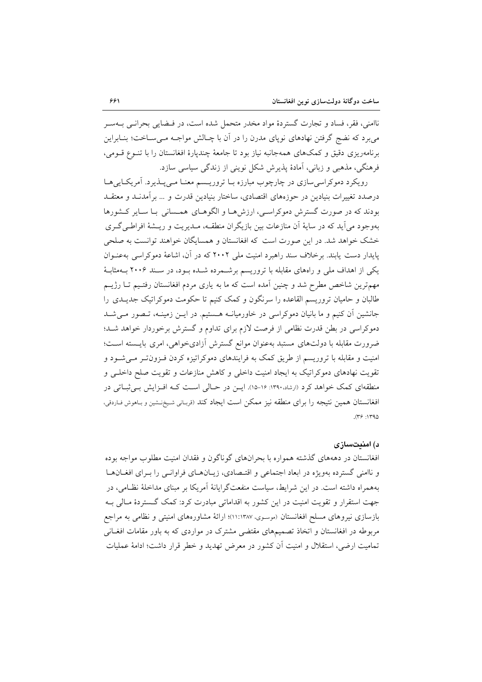ناامنی، فقر، فساد و تجارت گستردهٔ مواد مخدر متحمل شده است، در فـضایی بحرانـبی بــهسـر می یو د که نضج گرفتن نهادهای نوپای مدرن را در آن با چـالش مواجـه مـی سـاخت؛ بنـابراین برنامهریزی دقیق و کمکهای همهجانبه نیاز بود تا جامعهٔ چندپارهٔ افغانستان را با تنـوع قـومی، فرهنگی، مذهبی و زبانی، آمادهٔ پذیرش شکل نوینی از زندگی سیاسی سازد.

رویکرد دموکراسی سازی در چارچوب مبارزه بـا تروریـسم معنـا مـیپـذیرد. آمریکـاییِهـا درصدد تغییرات بنیادین در حوزههای اقتصادی، ساختار بنیادین قدرت و ... برآمدنـد و معتقـد بودند که در صورت گسترش دموکراسی، ارزشها و الگوهـای همـسانی بـا سـایر کـشورها بهوجود مي آيد كه در سايهٔ آن منازعات بين بازيگران منطقـه، مـديريت و ريــشهٔ افراطـي گـري خشک خواهد شد. در این صورت است که افغانستان و همسایگان خواهند توانست به صلحی پایدار دست پابند. برخلاف سند راهبرد امنیت ملی ۲۰۰۲ که در آن، اشاعهٔ دموکراسی بهعنـوان یکی از اهداف ملی و راههای مقابله با تروریسم برشـمرده شـده بـود، در سـند ۲۰۰۶ بـهمثابـهٔ مهمترین شاخص مطرح شد و چنین آمده است که ما به یاری مردم افغانستان رفتیم تـا رژیــم طالبان و حامیان تروریسم القاعده را سرنگون و کمک کنیم تا حکومت دموکراتیک جدیـدی را جانشین آن کنیم و ما بانیان دموکراسی در خاورمیانـه هـستیم. در ایـن زمینـه، تـصور مـی شـد دموکراسی در بطن قدرت نظامی از فرصت لازم برای تداوم و گسترش برخوردار خواهد شـد؛ ضرورت مقابله با دولتهای مستبد بهعنوان موانع گسترش آزادیخواهی، امری بایـسته اسـت؛ امنیت و مقابله با تروریسم از طریق کمک به فرایندهای دموکراتیزه کردن فـزون تـر مـی شـود و تقویت نهادهای دموکراتیک به ایجاد امنیت داخلی و کاهش منازعات و تقویت صلح داخلـی و منطقهای کمک خواهد کرد (ارشاد،۱۳۹۰: ۱۶-۱۵). ایـن در حـالی اسـت کـه افـزایش بـی ثبـاتی در افغانستان همین نتیجه را برای منطقه نیز ممکن است ایجاد کند (قربانی شیخ نشین و باهوش فاردقی،  $(59.1590)$ 

### د) امنىتسازى

افغانستان در دهههای گذشته همواره با بحرانهای گوناگون و فقدان امنیت مطلوب مواجه بوده و ناامنی گسترده بهویژه در ابعاد اجتماعی و اقتـصادی، زیـانهـای فراوانـی را بـرای افغـانهـا بههمراه داشته است. در این شرایط، سیاست منفعتگرایانهٔ آمریکا بر مبنای مداخلهٔ نظـامی، در جهت استقرار و تقویت امنیت در این کشور به اقداماتی مبادرت کرد: کمک گستردهٔ مـالی بـه بازسازی نیروهای مسلح افغانستان (موسوی، ۱۱:۱۳۸۷)؛ ارائهٔ مشاورههای امنیتی و نظامی به مراجع مربوطه در افغانستان و اتخاذ تصمیمهای مقتضی مشترک در مواردی که به باور مقامات افغـانی تمامیت ارضی، استقلال و امنیت آن کشور در معرض تهدید و خطر قرار داشت؛ ادامهٔ عملیات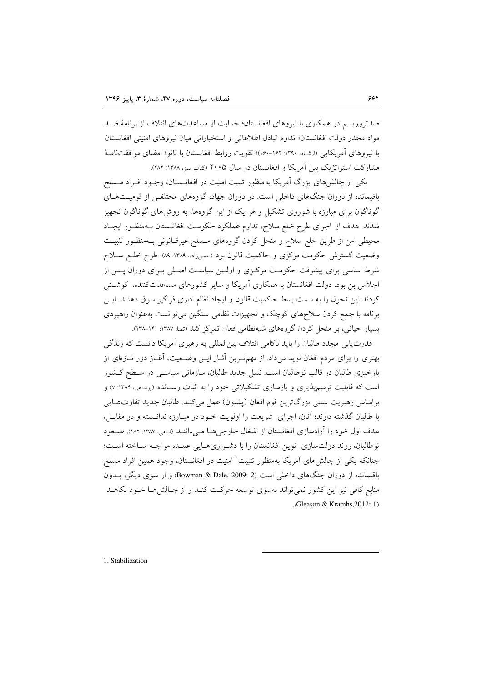ضدتروریسم در همکاری با نیروهای افغانستان؛ حمایت از مساعدتهای ائتلاف از برنامهٔ ضـد مواد مخدر دولت افغانستان؛ تداوم تبادل اطلاعاتی و استخباراتی میان نیروهای امنیتی افغانستان با نیروهای آمریکایی (ارشاد، ۱۳۹۰: ۱۶۲-۱۶۰)؛ تقویت روابط افغانستان با ناتو؛ امضای موافقتنامیهٔ مشارکت استراتژیک بین آمریکا و افغانستان در سال ۲۰۰۵ (کتاب سبز، ۱۳۸۸: ۲۸۲).

یکی از چالشهای بزرگ آمریکا بهمنظور تثبیت امنیت در افغانــستان، وجــود افــراد مــسلح باقیمانده از دوران جنگهای داخلی است. در دوران جهاد، گروههای مختلفی از قومیتهـای گوناگون برای مبارزه با شوروی تشکیل و هر یک از این گروهها، به روش۵های گوناگون تجهیز شدند. هدف از اجرای طرح خلع سلاح، تداوم عملکرد حکومت افغانـستان بـهمنظـور ايجـاد محیطی امن از طریق خلع سلاح و منحل کردن گروههای مـسلح غیرقـانونی بـهمنظـور تثبیـت وضعیت گسترش حکومت مرکزی و حاکمیت قانون بود (حسنزاده، ۱۳۸۹: ۸۹). طرح خلع سـلاح شرط اساسی برای پیشرفت حکومت مرکزی و اولـین سیاسـت اصـلی بـرای دوران پـس از اجلاس بن بود. دولت افغانستان با همکاری آمریکا و سایر کشورهای مساعدتکننده، کوشش كردند اين تحول را به سمت بسط حاكميت قانون و ايجاد نظام اداري فراگير سوق دهنـد. ايـن برنامه با جمع کردن سلاحهای کوچک و تجهیزات نظامی سنگین می توانست بهعنوان راهبردی بسیار حیاتی، بر منحل کردن گروههای شبهنظامی فعال تمرکز کند (تمنا، ۱۳۸۷: ۱۴۱–۱۳۸٪).

قدرت یابی مجدد طالبان را باید ناکامی ائتلاف بینالمللی به رهبری آمریکا دانست که زندگی بهتری را برای مردم افغان نوید میداد. از مهمتـرین آثـار ایــن وضــعیت، آغــاز دور تــازهای از بازخیزی طالبان در قالب نوطالبان است. نسل جدید طالبان، سازمانی سیاسـی در سـطح کـشور است که قابلیت ترمیمپذیری و بازسازی تشکیلاتی خود را به اثبات رسـانده (بوسفی، ۱۳۸۴: ۷) و براساس رهبريت سنتي بزرگترين قوم افغان (پشتون) عمل مي كنند. طالبان جديد تفاوتهـايي با طالبان گذشته دارند؛ آنان، اجرای شریعت را اولویت خـود در مبـارزه ندانـسته و در مقابـل، هدف اول خود را آزادسازی افغانستان از اشغال خارجی هـا مـی داننـد (نـامی، ١٣٨٧: ١٨٢). صـعود نوطالبان، روند دولتسازي نوين افغانستان را با دشواري هـايي عمـده مواجـه سـاخته اسـت؛ چنانکه یکی از چالش های آمریکا بهمنظور تثبیت<sup>'</sup> امنیت در افغانستان، وجود همین افراد مسلح باقیمانده از دوران جنگهای داخلی است (2 :Bowman & Dale, 2009) و از سوی دیگر، بــدون منابع کافی نیز این کشور نمی تواند بهسوی توسعه حرکت کنـد و از چـالش۵هـا خــود بکاهــد . Gleason & Krambs.  $2012:1$ )

1. Stabilization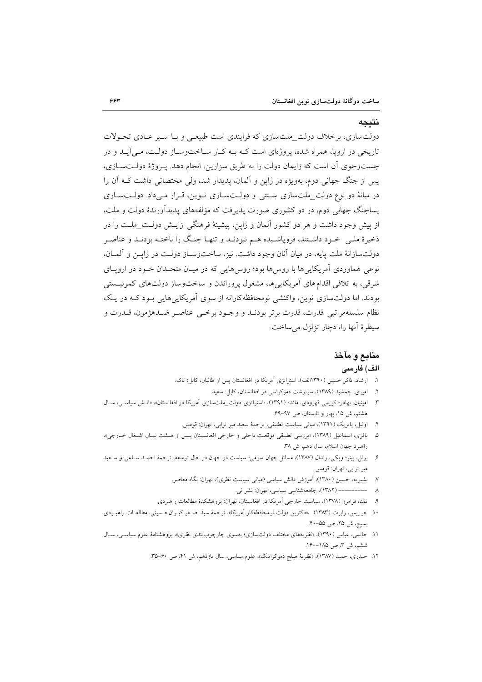#### نتيجه

دولتسازی، برخلاف دولت\_ملتسازی که فرایندی است طبیعی و بـا سـیر عـادی تحـولات تاریخی در اروپا، همراه شده، پروژهای است کـه بـه کـار سـاختوسـاز دولـت، مـی آیـد و در جستوجوی آن است که زایمان دولت را به طریق سزارین، انجام دهد. پـروژهٔ دولـتسـازی، یس از جنگ جهانی دوم، بهویژه در ژاپن و آلمان، پدیدار شد، ولی مختصاتی داشت کـه آن را در میانهٔ دو نوع دولت\_ملتسازی ستتی و دولتسازی نوین، قرار میداد. دولتسازی یساجنگ جهانی دوم، در دو کشوری صورت پذیرفت که مؤلفههای پدیدآورندهٔ دولت و ملت، از پیش وجود داشت و هر دو کشور آلمان و ژاپن، پیشینهٔ فرهنگی زایـش دولـت\_ملـت را در ذخیرهٔ ملـی خـود داشـتند، فروپاشـیده هـم نبودنــد و تنهــا جنـگ را باختــه بودنــد و عناصـر دولتسازانهٔ ملت پایه، در میان آنان وجود داشت. نیز، ساختوسـاز دولـت در ژاپــن و آلمــان، نوعی هماوردی آمریکاییها با روسها بود؛ روسهایی که در میـان متحـدان خـود در اروپــای شرقی، به تلافی اقدام های آمریکایی ها، مشغول پروراندن و ساخت وساز دولت های کمونیستی بودند. اما دولتسازی نوین، واکنشی نومحافظه کارانه از سوی آمریکایی هایی بـود کـه در یـک نظام سلسلهمراتبي قدرت، قدرت برتر بودنـد و وجـود برخـي عناصـر ضـدهژمون، قـدرت و سيطرة أنها را، دچار تزلزل مي ساخت.

### منابع و مآخذ

### الف) فارسى

- ۱. ارشاد، ذاکر حسین (۱۳۹۰الف)، استراتژی آمریکا در افغانستان پس از طالبان، کابل: تاک.
	- ۲. امیری، جمشید (۱۳۸۹)، سرنوشت دموکراسی در افغانستان، کابل: سعید.
- ۳. امینیان، بهادر؛ کریمی قهرودی، مائده (۱۳۹۱)، «استراتژی دولت\_ملتسازی اَمریکا در افغانستان»، دانـش سیاسـی، سـال هشتم، ش ۱۵، بهار و تابستان، ص ۹۷-۶۹.
	- ۴. اونیل، پاتریک (۱۳۹۱)، مبانی سیاست تطبیقی، ترجمهٔ سعید میر ترابی، تهران: قومس.
- ۵. باقری، اسماعیل (۱۳۸۹)، «بررسی تطبیقی موقعیت داخلی و خارجی افغانسستان پس از هـشت سـال اشـغال خـارجی»، راهبرد جهان اسلام، سال دهم، ش ٣٨.
- ۶. برنل، پیتر؛ ویکی، رندال (۱۳۸۷)، مسائل جهان سومی؛ سیاست در جهان در حال توسعه، ترجمهٔ احمـد سـاعی و سـعید مير ترابى، تهران: قومس.
	- ۷. بشیریه، حسین (۱۳۸۰)، آموزش دانش سیاسی (مبانی سیاست نظری)، تهران: نگاه معاصر.
		- ٨ ---------- (١٣٨٢)، جامعهشناسي سياسي، تهران: نشر ني.
	- ۹. تمنا، فرامرز (۱۳۷۸)، سیاست خارجی آمریکا در افغانستان، تهران: پژوهشکدهٔ مطالعات راهبردی.
- ۱۰. جوریس، رابرت (۱۳۸۳) ،«دکترین دولت نومحافظهکار اَمریکا»، ترجمهٔ سید اصـغر کیـوان-حـسینی، مطالعـات راهبـردی بسيج، ش ٢۵، ص ٥۵-۴۰.
- ۱۱. حاتمی، عباس (۱۳۹۰)، «نظریههای مختلف دولتسازی؛ بهسوی چارچوببندی نظری»، پژوهشنامهٔ علوم سیاسـی، سـال ششم، ش ٣، ص ١٨٥-١۶٠.
	- ۱۲. حیدری، حمید (۱۳۸۷)، «نظریهٔ صلح دموکراتیک»، علوم سیاسی، سال یازدهم، ش ۴۱، ص ۶۰-۳۵.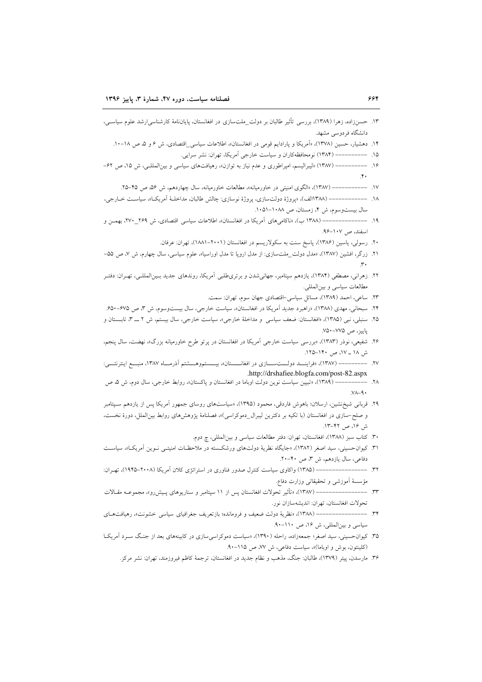| ۱۳. حسنزاده، زهرا (۱۳۸۹)، بررسی تأثیر طالبان بر دولت_ملتسازی در افغانستان، پایانLامهٔ کارشناسی رشد علوم سیاسـی،                                           |
|-----------------------------------------------------------------------------------------------------------------------------------------------------------|
| دانشگاه فردوسی مشهد.                                                                                                                                      |
| ۱۴.  دهشیار، حسین (۱۳۷۸)، «اَمریکا و پارادایم قومی در افغانستان»، اطلاعات سیاس <u>ی ا</u> قتصادی، ش ۶ و ۵ ص ۱۸–۱۰.                                        |
| ۱۵. ----------- (۱۳۸۴) نومحافظهکاران و سیاست خارجی اَمریکا، تهران: نشر سرایی.                                                                             |
| ۱۶. ------------ (۱۳۸۷) «لیبرالیسم، امپراطوری و عدم نیاز به توازن»، رهیافتهای سیاسی و بین(لمللـی، ش ۱۵، ص ۶۲–                                             |
|                                                                                                                                                           |
| ۱۷.  --------------- (۱۳۸۷). «الگوی امنیتی در خاورمیانه»، مطالعات خاورمیانه، سال چهاردهم، ش ۵۶ ص ۴۵–۲۵.                                                   |
|                                                                                                                                                           |
| سال بیستوسوم، ش ۴، زمستان، ص ۱۰۸۸-۱۰۵۱.                                                                                                                   |
| ۱۹. ----------------- (۱۳۸۸ ب). «ناکامیهای اَمریکا در افغانستان»، اطلاعات سیاسی اقتصادی، ش ۲۶۹_۲۷۰، بهمــن و                                              |
| اسفند، ص ۱۰۷–۹۶.                                                                                                                                          |
| ۲۰.  رسولی، یاسین (۱۳۸۶)، پاسخ سنت به سکولاریسم در افغانستان (۲۰۰۱–۱۸۸۱)، تهران: عرفان.                                                                   |
|                                                                                                                                                           |
| ۲۱.  زرگر، افشین (۱۳۸۷)، «مدل دولت_ملتسازی: از مدل اروپا تا مدل اوراسیا»، علوم سیاسی، سال چهارم، ش ۷، ص ۵۵–                                               |
|                                                                                                                                                           |
| ۲۲. زهرانی، مصطفی (۱۳۸۴)، یازدهم سپتامبر، جهانیشدن و برتری،طلبی آمریکا، روندهای جدید بـینالمللـی، تهـران: دفتـر                                           |
| مطالعات سياسي و بين لمللي.                                                                                                                                |
| ۲۳. ساعی، احمد (۱۳۸۹)، مسائل سیاسی-اقتصادی جهان سوم، تهران: سمت.                                                                                          |
| ۲۴. سبحانی، مهدی (۱۳۸۸)، «راهبرد جدید اَمریکا در افغانستان»، سیاست خارجی، سال بیستوسوم، ش ۳، ص ۶۷۵–۶۵۰.                                                   |
| ۲۵. سنبلی، نبی (۱۳۸۵)، «افغانستان: ضعف سیاسی ًو مداخلهٔ خارجی»، سیاست خارجی، سال بیستم، ش ۲ ـــ ۳، تابـــــتان و                                          |
| پاييز، ص ٧٧۵-٧۵٠.                                                                                                                                         |
|                                                                                                                                                           |
| ۲۶. شفیعی، نوذر (۱۳۸۳)، «بررسی سیاست خارجی اَمریکا در افغانستان در پرتو طرح خاورمیانه بزرگ»، نهضت، سال پنجم،                                              |
| ش ۱۸ _ ۱۷، ص ۱۴۰–۱۲۵.                                                                                                                                     |
|                                                                                                                                                           |
| ۲۷.   ––––––––– (۱۳۸۷)، «فراینـــد دولــــت¬ـــــازی در افغانـــــــتان»، بیـــــستم٫وهــــشتم آذرمـــاه ۱۳۸۷، منبـــع اینترنتــــی:                      |
| .http://drshafiee.blogfa.com/post-82.aspx<br>۲۸. ------------ (۱۳۸۹)، «تبیین سیاست نوین دولت اوباما در افغانستان و پاکستان»، روابط خارجی، سال دوم، ش ۵، ص |
| $VA - 9.$                                                                                                                                                 |
|                                                                                                                                                           |
| ۲۹. قربانی شیخنشین، ارسلان؛ باهوش فاردقی، محمود (۱۳۹۵)، «سیاستهای روسای جمهور اَمریکا پس از یازدهم سـپتامبر                                               |
| و صلح–سازی در افغانستان (با تکیه بر دکترین لیبرال_دموکراسی)»، فصلنامهٔ پژوهشهای روابط بینالملل، دورهٔ نخست،<br>ش ۱۶. ص ۴۲–۱۳.                             |
|                                                                                                                                                           |
| ۳۰. کتاب سبز (۱۳۸۸)، افغانستان، تهران: دفتر مطالعات سیاسی و بینالمللی، چ دوم.                                                                             |
| ۳۱. کیوان حسینی، سید اصغر (۱۳۸۲)، «جایگاه نظریهٔ دولتهای ورشکسته در ملاحظـات امنیتــی نــوین آمریکــا»، سیاســت                                           |
| دفاعی، سال یازدهم، ش ۳، ص ۴۰-۲۰.                                                                                                                          |
| ۳۲. --------------------- (۱۳۸۵) واکاوی سیاست کنترل صدور فناوری در استراتژی کلان اَمریکا (۲۰۰۸–۱۹۴۵)، تهـران:                                             |
| مؤسسهٔ أموزشی و تحقیقاتی وزارت دفاع.                                                                                                                      |
|                                                                                                                                                           |
| تحولات افغانستان، تهران: انديشهسازان نور.                                                                                                                 |
| ۳۴ _------------------- (۱۳۸۸)، «نظریهٔ دولت ضعیف و فرومانده؛ بازتعریف جغرافیای سیاسی خشونت»، رهیافتهای                                                   |
| سیاسی و بین المللی، ش ١۶، ص ١١٠-٩٠.                                                                                                                       |
| ۳۵. کیوان-حسینی، سید اصغر؛ جمعهزاده، راحله (۱۳۹۰)، «سیاست دموکراسیسازی در کابینههای بعد از جنگ ســرد آمریکــا                                             |
| (کلینتون، بوش و اوباما)»، سیاست دفاعی، ش ۷۷، ص ۱۱۵-۹۰.                                                                                                    |